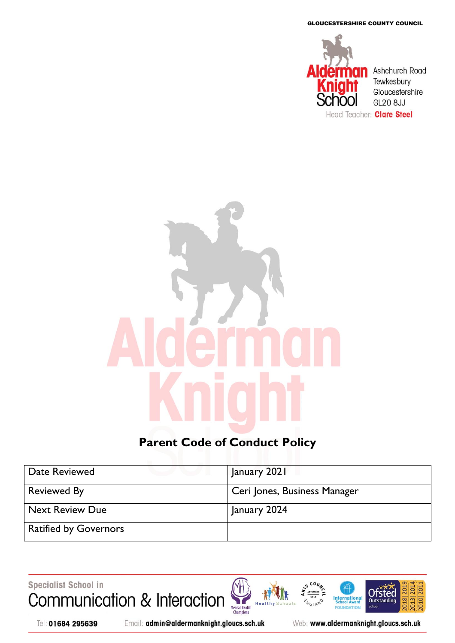GLOUCESTERSHIRE COUNTY COUNCIL



# **Parent Code of Conduct Policy**

| Date Reviewed                | January 2021                 |
|------------------------------|------------------------------|
| <b>Reviewed By</b>           | Ceri Jones, Business Manager |
| <b>Next Review Due</b>       | January 2024                 |
| <b>Ratified by Governors</b> |                              |

Specialist School in Communication & Interaction





Email: admin@aldermanknight.gloucs.sch.uk

Web: www.aldermanknight.gloucs.sch.uk

**International**<br>School Award

FOUNDATION

**NGLAND** 

2018 201

2013 20

**Ofsted** 

Outstandi na

**School** 

010 20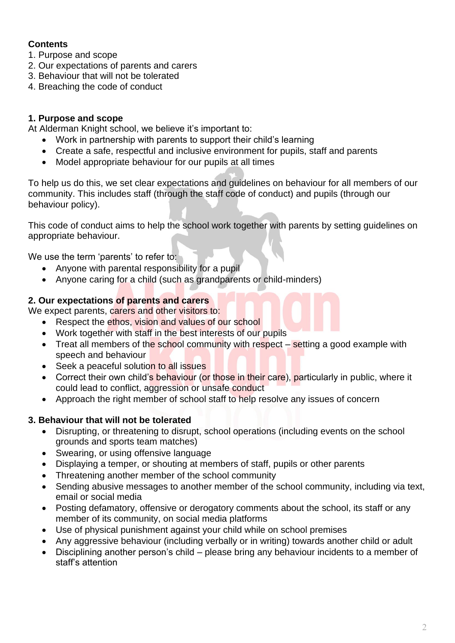#### **Contents**

- 1. Purpose and scope
- 2. Our expectations of parents and carers
- 3. Behaviour that will not be tolerated
- 4. Breaching the code of conduct

#### **1. Purpose and scope**

At Alderman Knight school, we believe it's important to:

- Work in partnership with parents to support their child's learning
- Create a safe, respectful and inclusive environment for pupils, staff and parents
- Model appropriate behaviour for our pupils at all times

To help us do this, we set clear expectations and guidelines on behaviour for all members of our community. This includes staff (through the staff code of conduct) and pupils (through our behaviour policy).

This code of conduct aims to help the school work together with parents by setting guidelines on appropriate behaviour.

We use the term 'parents' to refer to:

- Anyone with parental responsibility for a pupil
- Anyone caring for a child (such as grandparents or child-minders)

### **2. Our expectations of parents and carers**

We expect parents, carers and other visitors to:

- Respect the ethos, vision and values of our school
- Work together with staff in the best interests of our pupils
- Treat all members of the school community with respect setting a good example with speech and behaviour
- Seek a peaceful solution to all issues
- Correct their own child's behaviour (or those in their care), particularly in public, where it could lead to conflict, aggression or unsafe conduct
- Approach the right member of school staff to help resolve any issues of concern

## **3. Behaviour that will not be tolerated**

- Disrupting, or threatening to disrupt, school operations (including events on the school grounds and sports team matches)
- Swearing, or using offensive language
- Displaying a temper, or shouting at members of staff, pupils or other parents
- Threatening another member of the school community
- Sending abusive messages to another member of the school community, including via text, email or social media
- Posting defamatory, offensive or derogatory comments about the school, its staff or any member of its community, on social media platforms
- Use of physical punishment against your child while on school premises
- Any aggressive behaviour (including verbally or in writing) towards another child or adult
- Disciplining another person's child please bring any behaviour incidents to a member of staff's attention